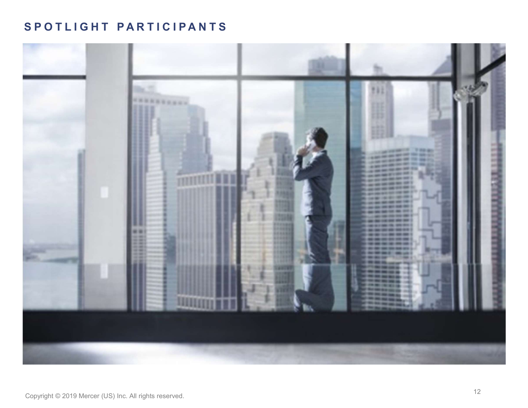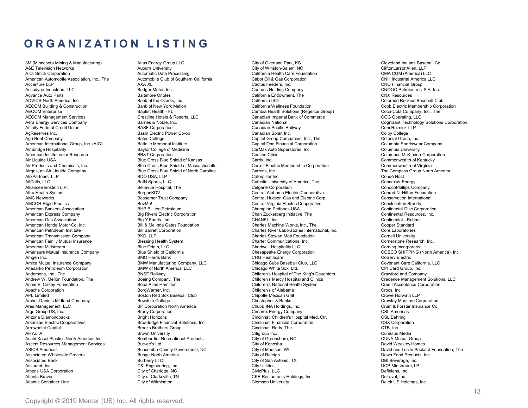**ORGANIZATION LISTING**<br>
Minnesota Mining & Manufacturing)<br>
Allas Energy Group LLC<br>
ARE Television Networks<br>
ARE Television Networks<br>
ARE Television Networks<br>
AD. Smith Corporation (Cultor Southern California Health Care Fo

3M (Minnesota Mining & Manufacturing) Atlas Energy Group LLC City of Overland Park, KS Cleveland Indians Baseball Co. A&E Television Networks Auburn University City of Winston-Salem, NC CliftonLarsonAllen, LLP  $\begin{tabular}{l|c|c|c|c|c|c|c|c} \multicolumn{3}{c}{\textbf{A.M.}} & \multicolumn{3}{c}{\textbf{A.M.}} & \multicolumn{3}{c}{\textbf{A.M.}} & \multicolumn{3}{c}{\textbf{A.M.}} & \multicolumn{3}{c}{\textbf{A.M.}} & \multicolumn{3}{c}{\textbf{A.M.}} & \multicolumn{3}{c}{\textbf{A.M.}} & \multicolumn{3}{c}{\textbf{A.M.}} & \multicolumn{3}{c}{\textbf{A.M.}} & \multicolumn{3}{c}{\textbf{A.M.}} & \multicolumn{3}{c}{\textbf{A.M.$ **American Automobile Association, Inc., The Automobile Automobile Automobile Automobile Club of Southern Cabot Oil Cabot Oil Cabot Oil Cabot Oil Cabot Oil Cabot Oil Cabot Oil Cabot Oil Cabot Oil Cabot Oil Cabot Oil Cabot** Accenture LLP AXA XL Cactus Feeders, Inc. CNO Financial Group  $\begin{tabular}{l|c|c|c|c|c} \multicolumn{1}{c}{\textbf{A. B. B.}} \multicolumn{1}{c}{\textbf{A. B.}} \multicolumn{1}{c}{\textbf{A. B.}} \multicolumn{1}{c}{\textbf{A. B.}} \multicolumn{1}{c}{\textbf{A. B.}} \multicolumn{1}{c}{\textbf{A. B.}} \multicolumn{1}{c}{\textbf{A. B.}} \multicolumn{1}{c}{\textbf{A. B.}} \multicolumn{1}{c}{\textbf{A. B.}} \multicolumn{1}{c}{\textbf{A. B.}} \multicolumn{1}{c}{\textbf{A. B.}} \mult$ Advance Auto Parts Baltimore Orioles California Endowment, The CNX Resources ADVICS North America, Inc. Bank of the Ozarks, Inc. California ISO Colorado Rockies Baseball Club  $\begin{tabular}{l|c|c|c|c|c|c|c|c} \textbf{A} & \textbf{B} & \textbf{B} & \textbf{C} & \textbf{D} & \textbf{D} & \textbf{E} & \textbf{S} & \textbf{S} & \textbf{S} & \textbf{S} & \textbf{S} & \textbf{S} & \textbf{S} & \textbf{S} & \textbf{S} & \textbf{S} & \textbf{S} & \textbf{S} & \textbf{S} & \textbf{S} & \textbf{S} & \textbf{S} & \textbf{S} & \textbf{S} & \textbf{S} & \textbf{S} & \textbf{S} &$ AECOM Enterprise Baptist Health - FL Cambia Health Solutions (Regence Group) Coca-Cola Company, Inc., The AECOM Management Services Crestline Hotels & Resorts, LLC Canadian Imperial Bank of Commerce COG Operating, LLC **ORGANIZATION LISTING**<br>
AMENDAMENTAL COMPANY COMPANY CONTINUES COMPONIES COMPANY COMPANY COMPANY COMPANY COMPANY CONTINUES CONTINUES COMPANY CONTINUES CONTINUES CONTINUES CONTINUES CONTINUES CONTINUES CONTINUES CONTINUES **ORGANIZATION LISTING**<br>
Alternative Membre Affinitive Credit Credit Credit Credit Credit Credit Credit Credit Credit Credit Credit Credit Credit Credit Credit Credit Credit Credit Credit Credit Credit Credit Credit Credit  $\begin{tabular}{c|c|c|c|c|c} \multicolumn{3}{c}{\textbf{A} & \textbf{B} & \textbf{C} & \textbf{A} & \textbf{B} & \textbf{C} & \textbf{C} & \textbf{D} & \textbf{D} & \textbf{D} & \textbf{D} & \textbf{D} & \textbf{D} & \textbf{D} & \textbf{D} & \textbf{D} & \textbf{D} & \textbf{D} & \textbf{D} & \textbf{D} & \textbf{D} & \textbf{D} & \textbf{D} & \textbf{D} & \textbf{D} & \textbf{D} & \textbf{D} & \textbf{$  $\begin{tabular}{|c||c||c|} \hline \textbf{R} \textbf{G} \textbf{A} \textbf{N} \textbf{I} \textbf{Z} \textbf{A} \textbf{Y} \textbf{I} \textbf{A} \textbf{Y} \textbf{I} \textbf{X} \textbf{X} \textbf{X} \textbf{X} \textbf{X} \textbf{X} \textbf{X} \textbf{X} \textbf{X} \textbf{X} \textbf{X} \textbf{X} \textbf{X} \textbf{X} \textbf{X} \textbf{X} \textbf{X} \textbf{X} \textbf{X} \textbf{X} \textbf{X} \textbf{X$ **ORGANIZATION LISTING**<br>
AMERICAN INTERNATION CONTECTIVE CONTECTIVE CONTECTIVE CONTECTIVE CONTECTIVE CONTECTIVE CAPITAL CONTECTIVE CAP<br>
ACCORD CONTECTIVE CONTECTIVE CAPITAL CONTECTIVE CAPITAL CONTECTIVE CONTECTIVE CONTECTI Aimbridge Hospitality Baylor College of Medicine CarMax Auto Superstores, Inc. Columbia University American Institutes for Research BB&T Corporation Carilion Clinic Columbus McKinnon Corporation Air Liquide USA Blue Cross Blue Shield of Kansas Carrix, Inc. Commonwealth of Kentucky Air Products and Chemicals, Inc. Blue Cross Blue Shield of Massachusetts Carroll Electric Membership Corporation Commonwealth of Virginia **ORGANIZATION LISTING**<br> **Although Structure Company Cross Blue Cross Blue Cross Blue Cross Blue Cross Blue Cross Blue Cross Blue Cross Blue Cross Blue Cross Blue Cross Blue Cross Blue Cross Blue Cross Blue Cross Blue Cros**  $\begin{tabular}{|c||c||c|} \hline \multicolumn{3}{|c||c|} \hline \multicolumn{3}{|c||c|} \hline \multicolumn{3}{|c||c|} \hline \multicolumn{3}{|c||c|} \hline \multicolumn{3}{|c||c|} \hline \multicolumn{3}{|c||c|} \hline \multicolumn{3}{|c||c|} \hline \multicolumn{3}{|c||c|} \hline \multicolumn{3}{|c||c|} \hline \multicolumn{3}{|c||c|} \hline \multicolumn{3}{|c||c|} \hline \multicolumn{3}{|c||c|} \hline \multicolumn{3}{|c||c$ AllCells, LLC BeIN Sports, LLC Catholic University of America, The Connexus Energy AllianceBernstein L.P. Bellevue Hospital, The Celgene Corporation ConocoPhillips Company **ORGANIZATION LISTING**<br> **Altress of Exception Cooperation Cooperation Cooperation Cooperation Cooperation Central Aleganisation Central Altress (Cooperation Central Aleganisation Central Aleganisation Central Aleganisatio** AMC Networks Bessemer Trust Company Central Hudson Gas and Electric Corp. Conservation International AMCOR Rigid Plastics BevMo! Central Virginia Electric Cooperative Constellation Brands **34 American Bankers Association Bankers Association Bankers Association Bankers Association Bankers Association Bankers Association Bankers Association Bankers Association Bankers Association Bankers Association Bankers ORGANIZATION LISTING** CHEMINATION CHANNEL COMPRESS COMPRESS COMPRESS COMPRESS COMPRESS COMPRESS CONTINUES CONTINUES CONTINUES CONTINUES COMPRESS CONTINUES CONTINUES CONTINUES CONTINUES CONTINUES CONTINUES CONTINUES CONTI American Gas Association Big Y Foods, Inc. CHANEL, Inc. Continental - Rubber Although the Research in the Temp Crass Co. Inc. Bill and the Cooperation Co. Inc. Inc. Co. Inc. Inc. Co. Inc. Co. Inc. Inc. Co. Inc. Co. Inc. Inc. Co. Inc. Co. Inc. Co. Inc. Inc. Co. Inc. Inc. Co. Inc. Inc. Co. Inc. Inc. American Petroleum Institute Bill Barrett Corporation Charles River Laboratories International, Inc. Core Laboratories 30.1.100 - 2002 - 2002 - 2002 - 2002 - 2002 - 2002 - 2002 - 2002 - 2002 - 2002 - 2002 - 2002 - 2002 - 2002 - 2002 - 2002 - 2002 - 2002 - 2002 - 2002 - 2002 - 2002 - 2002 - 2002 - 2002 - 2002 - 2002 - 2002 - 2002 - 2002 -After the main insurance of the main internal internal internal internal internal internal internal internal internal internal internal internal internal internal internal internal internal internal internal internal inte An Entertainment is the material of the Charton Charter Cornicle of the Charton Charton Cornicle of the Charton Charton Charter Charton Cornicle of the Charton Charton Charton Charton Charton Charton Charton Charton Charto American American Chesapeake Energy Company Company (North America) (North America) (North America) (North America)<br>
Apple The Company Company Company Company Company Company Company Company Company Company Company Compan Amgenta Liberal Manuel Constitute Constitute Constitute Constitute Constitute Constitute Constitute Constitute Constitute Constitute Constitute Constitute Constitute Constitute Constitute Constitute Constitute Constitute Amica Mutual Insurance Company and the Company and Company insurance Company insurance Company and Company and Company and Company and Company and Company and Company and Company and Company and Company and Covenant Care C Anadarko Petroleum Corporation BMW of North America, Chicago Corporation Corporation Corporation Corporation Corporation Corporation Corporation Corporation Corporation Corporation Corporation Corporation Corporation Corp Anderson is the BNSF Rail of the Company of the Company of the Company of the Company of the Company of the Company of the Company of the Company of the Company of the Company of the Company of the Company of the Company Andrew Company of Company and the Mandrew W. Mellon Foundation, The Children's Company and the Children's Credence Company and the Company and Clinics Credence Management Solutions, LLCCC in the Company of Credence Manag annie E. Casey Mannie Annie E. Ann. (2000) (2000) (2000) (2000) (2000) (2000) (2000) (2000) (2000) (2000) (2000) (2000) (2000) (2000) (2000) (2000) (2000) (2000) (2000) (2000) (2000) (2000) (2000) (2000) (2000) (2000) (200 **ACCONS Internal Corporation Corporation Corporation Corporation Corporation Corporation Corporation Corporation Corporation Corporation Corporation Corporation Corporation Corporation Corporation Corporation Corporation** Apple Society Mathematics of the Club Conservation of the state of the state of the state of the state of the state of the state of the state of the state of the state of the state of the state of the state of the state o Archer de Company and the minimum of the company of the company of the company of the company of the company of the company of the company of the company of the company of the company of the company of the company of the Applementation is the corporation of the state of the state of the state of the state of the state of the state of the state of the state of the state of the state of the state of the state of the state of the state of th Application and the state of the state of the state of the state of the state of the state of the state of the state of the state of the state of the state of the state of the state of the state of the state of the state Amizona beneficts Controlling and the controlling of the controlling of the controlling of the controlling of the controlling of the controlling of the controlling of the controlling of the controlling of the controllin Archain Prior Cooperation and the Cooperation Cooperation in the Cooperation of the Cooperation of the Cooperation of the Cooperation of the Cooperation of the Cooperation of the Cooperation of the Cooperation of the Coop American Lettrace Computer of the Computer of Capital Capital Capital Capital Capital Capital Capital Capital Capital Capital Capital Capital Capital Capital Capital Capital Capital Capital Capital Capital Capital Capital ARYZTA Brown University Citigroup Inc. Cumulus Media Asahi Kasei Plastics North America, Inc. Bombardier Recreational Products City of Greensboro, NC CUNA Mutual Group Ascent Resources Management Controlline (Controlline Controlline Controlline Controlline Controlline Controlline Controlline Controlline Controlline Controlline Controlline Controlline Controlline Controlline Controlline Asset Librer of the County of City of City of City of City of City of City of City of City of City of City of City of City of City of City of City of City of City of City of City of City of City of City of City of City of Associated Wholesale The Material Company and the substitution of the substitution of the substitution of the substitution of the substitution of the substitution of the substitution of the substitution of the substitutio Associated Bank Burberry 2002, and the steady of City of City of City of City of City of City of City of City of City of City of City of City of City of City of City of City of City of City of City of City of City of City Assurance of the state of the state of the control of the control of the control of the control of the control of the control of the control of the control of the control of the control of the control of the control of th Athene is easy of the set of the corporation City of the set of the corporation City of Charlotte, Inc. Corporation City of Charlotte, Inc. Corporation City of Charlotte, Inc. Corporation City of Charlotte, Inc. Corporati Atlanta Braves City of Clarks in the Company of Clarksville, Company of Clarksville, Company of Clarksville, Company of Clarksville, Braves City of Clarksville, Braves City of Clarksville, The Clarksville, The Company o American terms in the container of the main container of the main container and the container of the main container and the container of the main container and the container of the main container and the container of the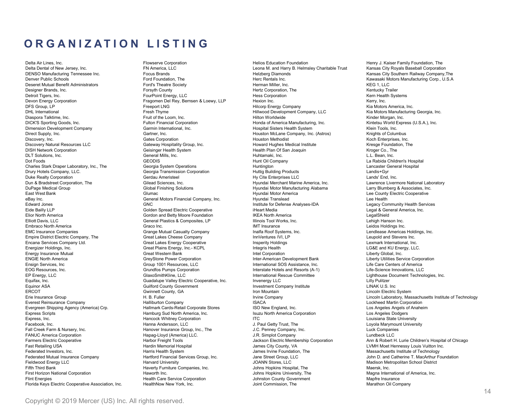ORGANIZATION LISTING<br>
Delta Air Lines, Inc. (Partial dental of New Jersey, Inc. Provide Brack of Provide Brack of Provide Brack of<br>
Delta Derhal of New Jersey, Inc. From Foundation Term and Harry B. Helmsley Charitable Tru

Delta Air Lines, Inc. Flowserve Corporation Helios Education Foundation Henry J. Kaiser Family Foundation, The Delta Dental of New Jersey, Inc. FN America, LLC Leona M. and Harry B. Helmsley Charitable Trust Kansas City Royals Baseball Corporation DENSO Manufacturing Tennessee Inc. Focus Brands Helzberg Diamonds Kansas City Southern Railway Company,The Denver Public Schools Ford Foundation, The Herc Rentals Inc. Kawasaki Motors Manufacturing Corp., U.S.A  $\begin{tabular}{l|c|c|c|c|c|c|c} \multicolumn{3}{c}{\textbf{DR} & \textbf{DR} & \textbf{DR} & \textbf{DR} & \textbf{DR} & \textbf{DR} & \textbf{DR} & \textbf{DR} & \textbf{DR} & \textbf{DR} & \textbf{DR} & \textbf{DR} & \textbf{DR} & \textbf{DR} & \textbf{DR} & \textbf{DR} & \textbf{DR} & \textbf{DR} & \textbf{DR} & \textbf{DR} & \textbf{DR} & \textbf{DR} & \textbf{DR} & \textbf{DR} & \textbf{DR} & \textbf{DR} & \textbf{DR} & \$  $\begin{tabular}{l|c|c|c|c|c} \hline \textbf{Q} & \textbf{G} & \textbf{A} & \textbf{B} & \textbf{C} & \textbf{B} & \textbf{B} & \textbf{B} & \textbf{C} & \textbf{D} & \textbf{D} & \textbf{D} & \textbf{D} & \textbf{D} & \textbf{D} & \textbf{D} & \textbf{D} & \textbf{D} & \textbf{D} & \textbf{D} & \textbf{D} & \textbf{D} & \textbf{D} & \textbf{D} & \textbf{D} & \textbf{D} & \textbf{D} & \textbf{D} & \textbf$ Detroit Tigers, Inc. FourPoint Energy, LLC Hess Corporation Kern Health Systems  $\begin{tabular}{l|c|c|c|c|c|c|c|c} \multicolumn{2}{c}{\textbf{DR} & \textbf{DR} & \textbf{DR} & \textbf{DR} & \textbf{DR} & \textbf{DR} & \textbf{DR} & \textbf{DR} & \textbf{DR} & \textbf{DR} & \textbf{DR} & \textbf{DR} & \textbf{DR} & \textbf{DR} & \textbf{DR} & \textbf{DR} & \textbf{DR} & \textbf{DR} & \textbf{DR} & \textbf{DR} & \textbf{DR} & \textbf{DR} & \textbf{DR} & \textbf{DR} & \textbf{DR} & \textbf{DR} & \textbf{DR$ DFS Group, LP Freeport LNG Hilcorp Energy Company Kia Motors America, Inc. **DRGANIZATION LISTING**<br>Deve Methods, Recording Thromason Company, The Company of the Company of the Company of the Company of the Company<br>Development Company, The Company, The Company, The Company of the Company of the Co Diaspora Talktime, Inc. Fruit of the Loom, Inc. Hilton Worldwide Kinder Morgan, Inc. **DRGANIZATION LISTING**<br>
DICK ARE CORPORATION LISTING<br>
DELANDRENT CORPORATION CORPORATION CORPORATION CORPORATION CONTINUES CONTINUES CONTINUES CORPORATION CORPORATION CORPORATION CORPORATION CORPORATION CONTINUES<br>
DEVICE Dimension Development Company Garmin International, Inc. Hospital Sisters Health System Klein Tools, Inc. Direct Supply, Inc. Gartner, Inc. Houston McLane Company, Inc. (Astros) Knights of Columbus  $\begin{array}{|c|c|c|c|c|} \hline \textbf{0} & \textbf{0} & \textbf{0} & \textbf{0} & \textbf{0} & \textbf{0} & \textbf{0} & \textbf{0} & \textbf{0} & \textbf{0} & \textbf{0} & \textbf{0} & \textbf{0} & \textbf{0} & \textbf{0} & \textbf{0} & \textbf{0} & \textbf{0} & \textbf{0} & \textbf{0} & \textbf{0} & \textbf{0} & \textbf{0} & \textbf{0} & \textbf{0} & \textbf{0} & \textbf{0} & \textbf{0} & \textbf{$ **DRGANIZATION LISTING**<br>
Discovery Natural Resources LLC Gateway Hospitality Group, and the control of the same of social properties L<br>
DISCOVERIGENCY (See The Control of the Same of the Control of the Same of the Same of **DRGANIZATION LISTING**<br>
SENATHE REVIS TING<br>
DISK ART AND RESERVE CORPORATION CORPORATION CORPORATION CORPORATION CORPORATION CORPORATION<br>
DISK ART AND CORPORATION CORPORATION CORPORATION CORPORATION CORPORATION CORPORATIO  $\begin{tabular}{|c||c||c|} \hline \multicolumn{3}{|c||c|} \hline \multicolumn{3}{|c||c|} \hline \multicolumn{3}{|c||c|} \hline \multicolumn{3}{|c||c|} \hline \multicolumn{3}{|c||c|} \hline \multicolumn{3}{|c||c|} \hline \multicolumn{3}{|c||c|} \hline \multicolumn{3}{|c||c|} \hline \multicolumn{3}{|c||c|} \hline \multicolumn{3}{|c||c|} \hline \multicolumn{3}{|c||c|} \hline \multicolumn{3}{|c||c|} \hline \multicolumn{3}{|c||c$ **DRGANIZATION LISTING**<br>
SERVICES COMPANY INTERFERENCES (SEE COMPANY PROPERTY ASSESSMENT PROPERTY ASSESSMENT PROPERTY ASSESSMENT PROPERTY ASSESSMENT PROPERTY AND A COMPANY OF COMPANY OF COMPANY OR THE COMPANY OF COMPANY OF Charles Stark Draper Laboratory, Inc., The Georgia System Operations Huntington Lancaster General Hospital  $\begin{array}{|c|c|c|c|c|} \hline \textbf{G} & \textbf{R} & \textbf{S} & \textbf{S} & \textbf{S} & \textbf{S} & \textbf{S} & \textbf{S} & \textbf{S} & \textbf{S} & \textbf{S} & \textbf{S} & \textbf{S} & \textbf{S} & \textbf{S} & \textbf{S} & \textbf{S} & \textbf{S} & \textbf{S} & \textbf{S} & \textbf{S} & \textbf{S} & \textbf{S} & \textbf{S} & \textbf{S} & \textbf{S} & \textbf{S} & \textbf{S} & \textbf{$  $\begin{tabular}{|c||c||c|} \hline \multicolumn{3}{|c||c|} \hline \multicolumn{3}{|c||c|} \hline \multicolumn{3}{|c||c|} \hline \multicolumn{3}{|c||c|} \hline \multicolumn{3}{|c||c|} \hline \multicolumn{3}{|c||c|} \hline \multicolumn{3}{|c||c|} \hline \multicolumn{3}{|c||c|} \hline \multicolumn{3}{|c||c|} \hline \multicolumn{3}{|c||c|} \hline \multicolumn{3}{|c||c|} \hline \multicolumn{3}{|c||c|} \hline \multicolumn{3}{|c||c$ Dun & Bradstreet Corporation, The Gilead Sciences, Inc. Hyundai Merchant Marine America, Inc. Lawrence Livermore National Laboratory  $\overline{OR G}$   $\overline{OR G}$   $\overline{OR G}$   $\overline{OR G}$   $\overline{OR G}$   $\overline{OR G}$   $\overline{OR G}$   $\overline{OR G}$   $\overline{OR G}$   $\overline{OR G}$   $\overline{OR G}$   $\overline{OR G}$   $\overline{OR G}$   $\overline{OR G}$   $\overline{OR G}$   $\overline{OR G}$   $\overline{OR G}$   $\overline{OR G}$   $\overline{OR G}$   $\overline{OR G}$   $\overline{OR G}$   $\overline{OR G}$  CARIZATION LISTING SERIES SERIES SERIES SERIES SERIES SERIES SERIES SERIES SERIES SERIES SERIES SERIES SERIES SERIES SERIES SERIES SERIES SERIES SERIES SERIES SERIES SERIES SERIES SERIES SERIES SERIES SERIES SERIES SERIES **EXAMBER ANTION LISTING**<br>
Schedule and Company, the company of the company of the company of the company of the company of the company of the company of the company of the company of the company of the company of the comp Edward Jones GNUING CONTIER (STING SECTION AND RESERVE CONTIER SECTION ANALYSES-OF COMMUNITY CONTIER SECTION AND RESERVE CONTIER SECTION AND RESERVE CONTIER SECTION AND RESERVE CONTIER SECTION AND RESERVE COMMUNITY CONTIE Che Articles (a) TING TING However the cooperation of the cooperation of the cooperation of the cooperation of the cooperation of the cooperation of the cooperation of the cooperation of the cooperation of the cooperation  $\begin{array}{|c|c|c|c|c|c|} \hline \textbf{G} & \textbf{G} & \textbf{H} & \textbf{G} & \textbf{S} & \textbf{S} & \textbf{S} & \textbf{S} & \textbf{S} & \textbf{S} & \textbf{S} & \textbf{S} & \textbf{S} & \textbf{S} & \textbf{S} & \textbf{S} & \textbf{S} & \textbf{S} & \textbf{S} & \textbf{S} & \textbf{S} & \textbf{S} & \textbf{S} & \textbf{S} & \textbf{S} & \textbf{S} & \textbf{S} & \textbf{S} & \text$ Elliott Davis, LLC General Plastics & Composites, LP Illinois Tool Works, Inc. Lehigh Hanson Inc. Cale At Franchise Constitution (a method of the state of the state of the state of the state of the state of the state of the state of the state of the state of the state of the state of the state of the state of the stat Companies Companies Companies Grange Companies (System and the state of the state of the state of the state of the state of the state of the state of the state of the state of the state of the state of the state of the st Company of the second of the second of the Great Company of the Stevens Innventures Company Inner Company Inner Company Inner Company Inner Company Inner Company Inner Company Inner Company Inner Company Inner Company Inn Services Company in the Company of the Company of the Company of the Company of the Company of the Company of the Company of the Company of the Company of the Company of the Company of the Company of the Company of the Co Energizer Holdings, Inc. Great Plains Energy, Inc.- KCPL Integris Health LG&E and KU Energy, LLC. Energy Insurance Mutual Great Manual Great Manual Great Manual Great Manual Great Manual Great Manual Great Manual Great Manual Great Manual Great Manual Great Manual Great Manual Great Manual Great Manual Great Manual Gr ENGIRE INTERFERIENCE CORPORATION CORPORATION INTERFERIENCE CORPORATION INTERFERIENCE CORPORATION CORPORATION INTERFERIENCE CORPORATION INTERFERIENCE CORPORATION INTERFERIENCE CORPORATION INTERFERIENCE CORPORATION INTERFER Ensign Services, Inc. The Control of the Control of the Control of the Control of the Control of the Care of Care Centers of Control of the Control of the Control of the Care of Care Centers of Care Centers of Care Center EOG Resources, Inc. Grundford interstates, Inc. Grundford interstates, Inc. Grundford interstates, Inc. Grundford internal corporation internal corporation Internal corporation Internal corporation Internal corporation I EP Energy, L.C Committee Committee Committee Committee Committee Committee Committee Committee Lighthouse Committee Committee Committee Committee Committee Committee Committee Committee Committee Committee Committee Commi Equipax, Inc. Guadalupe Cooperation (1990) (1992) (1992) (1992) (1993) (1993) (1993) (1993) (1993) (1993) (1993) (1993) (1993) (1993) (1993) (1993) (1993) (1993) (1993) (1993) (1993) (1993) (1993) (1993) (1993) (1993) (199 Equinor ASA Guilford County County County of the County of the County of the County County County County County County County County County County County County County County County County County County County County Coun ercore areas of the principle of the county of the county of the county of the county of the county of the county of the county of the county of the county of the county of the county of the county of the county of the co Company is the company of the company of the company of the company of the company of the company of the company of the company of the company of the company of the company is the company of the company is the company of Evere Company (and Europe Company 19) (and Europe Company Halliburton Company Halliburton Company ISACA Lockheed Company Hall Company ISACA Lockheed Martin Company ISACA Lockheed Martin Company ISACA Lockheed Martin Corpo Sheet of the Corporate Corporate Cardial Corporate Cardial Corporate Create Create Corporate Corporate Corporate Cardial Create Create Create Corporate Cardial Corporate Corporate Corporate Corporate Create Corporate Corpo Express Scripts Hamburg Sud North America, Inc. Isuzu North America Corporation Los Angeles Dodgers Some blood to come in the first of the state of the state of the state of the state of the state of the state of the state of the state of the state of the state of the state of the state of the state of the state of the Facebook of the state of the state of the state of the state of the state of the state of the state of the state of the state of the state of the state of the state of the state of the state of the state of the state of  $\frac{1}{2}$  Creek Facebook Creek Farm & The Creek Facebook Creek Facebook Creek Farm & The Facebook Creek Facebook Creek Facebook Creek Facebook Creek Facebook Creek Facebook Creek Facebook Creek Facebook Creek Facebook Cre FANUC CONTENT CONFERENCE CORPORATION (AMERICA) THE CORPORATION CONTENT CONFERENCE CONFERENCE CORPORATION CONFERENCE CORPORATION (AMERICA) CORPORATION (AMERICA) CORPORATION CONFERENCE CONFERENCE CONFERENCE CONFERENCE CONFE Framers Electric Cooperation (1990) (1990) (1990) (1990) (1990) (1990) (1990) (1990) (1990) (1990) (1990) (1990) (1990) (1990) (1990) (1990) (1990) (1990) (1990) (1990) (1990) (1990) (1990) (1990) (1990) (1990) (1990) (19 Frastrometering in the the county of the county of the county of the county of the county of the county of the county of the county of the county of the county of the county of the county of the county of the county of th See Exception of the University of the University of the University of the University of the University of the University of the University of the University of the University of the University of the University of the Company Federates Company Federates Company (and Company Federates Company Federates Company Federates Group, Inc. Jane Street Group, Inc. Jane Street Group, Inc. Jane Street Group, Inc. Jane Street Group, Inc. Jane Stree Strait Constitution (a constitution of the strait of the strait of the strait of the strait of the strait of the strait of the strait of the strait of the strait of the strait of the strait of the strait of the strait of Fifth Third Bank Haverty Companies (1992) (1993) (1993) (1993) (1993) (1993) (1993) (1993) (1993) (1993) (1993) (1993) (1993) (1993) (1993) (1993) (1993) (1993) (1993) (1993) (1993) (1993) (1993) (1993) (1993) (1993) (1993 First Horizon America Corporation (1990) and the Corporation National Corporation (1990) and the Corporation Hamiltonia Corporation (1990) and the Corporation Hamiltonia Corporation (1990) and the Corporation (1990) and t Florida Care is the conservation of the interest of the corporation of the corporation of the corporation of the corporation of the corporation of the corporation of the corporation of the corporation of the corporation o Florida Keys (1993) (2003) (2003) (2003) (2003) (2003) (2003) (2003) (2003) (2003) (2003) (2003) (2003) (2003) (2003) (2003) (2003) (2003) (2003) (2003) (2003) (2003) (2003) (2003) (2003) (2003) (2003) (2003) (2003) (2003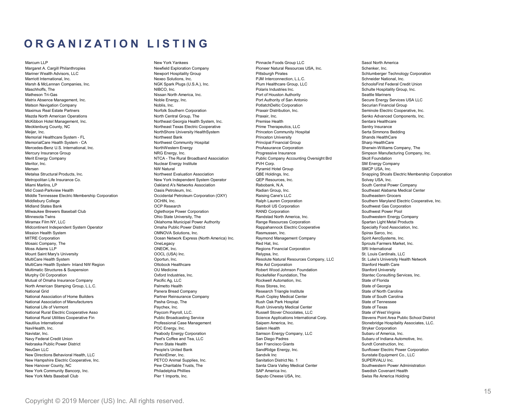# ORGANIZATION LISTING<br>
Margaret A Cargill Philanthropies<br>
Margaret A Cargill Philanthropies<br>
Margaret A Cargill Philanthropies<br>
Margaret A Cargill Philanthropies<br>
Margaret A Cargill Philanthropies<br>
Margaret A Cargill Philan

Marcum LLP New York Yankees Pinnacle Foods Group LLC Sasol North America Margaret A. Cargill Philanthropies New York Yankees<br>Margaret A. Cargill Philanthropies New York Yankees<br>Margaret A. Cargill Philanthropies Newfield Exploration Company Pioneer Natural Resources USA, Inc. Schenker, Inc. Te Marcum LLP  $\blacksquare$   $\blacksquare$   $\blacksquare$   $\blacksquare$   $\blacksquare$   $\blacksquare$   $\blacksquare$   $\blacksquare$   $\blacksquare$   $\blacksquare$   $\blacksquare$   $\blacksquare$   $\blacksquare$   $\blacksquare$   $\blacksquare$   $\blacksquare$   $\blacksquare$   $\blacksquare$   $\blacksquare$   $\blacksquare$   $\blacksquare$   $\blacksquare$   $\blacksquare$   $\blacksquare$   $\blacksquare$   $\blacksquare$   $\blacksquare$   $\blacksquare$   $\blacksquare$   $\blacksquare$  Marriott International, Inc. Next Marriott International, Inc. Next Marriotte International, Inc. Next Marriotte International, Inc. Next Marriotte International, Inc. Next Marriotte International, Inc. Next Marriotte Int Marcum LLC  $\blacksquare$ <br>Marcum LLC  $\blacksquare$ <br>Marsh Adviseo, LLC New York Yankees (U.S. T. I.N.), Primate Foots Group, U.S.<br>Marsh Adviseo, Inc. New Section Company Pluss (U.S.A.), Inc. Primate Credit Union Inc. SchoolsFirst Federal Maschhoffs, The NIBCO, Inc. Polaris Industries Inc. Schulte Hospitality Group, Inc. Matheson Tri-Gas Nissan North America, Inc. Port of Houston Authority Seattle Mariners  $\begin{tabular}{l|c|c|c|c|c|c|c|c} \multicolumn{3}{c}{\textbf{Marginal} & \textbf{Marginal} & \textbf{Marginal} & \textbf{Marginal} & \textbf{Marginal} & \textbf{Marginal} & \textbf{Marginal} & \textbf{Marginal} & \textbf{Marginal} & \textbf{Marginal} & \textbf{Marginal} & \textbf{Marginal} & \textbf{Marginal} & \textbf{Marginal} & \textbf{Marginal} & \textbf{Marginal} & \textbf{Marginal} & \textbf{Marginal} & \textbf{Marginal} & \textbf{Marginal} & \textbf{Marginal$ Matson Navigation Company Noblis, Inc. PotlatchDeltic Corporation Securian Financial Group **ORGANIZATION LISTING**<br>
Maximus Real Estate Partners Norto (Anti-Vienne Company Preserviction) (U.S. Semintary Distribution)<br>
Maximus Real Estate Partners Operation Pracair Distribution, Inc. Seminates Northern Preservict Mazda North American Operations North Central Group, The Praxair, Inc. Senko Advanced Components, Inc. **ORGANIZATION LISTING**<br>
Memorial Angle Consider the Consider Consider the Consider Consider the Consider Consider the Consider Consider<br>
Memorial Angle Consider the Conservation Conservation Conservation Conservation Cons  $\begin{array}{lllllllllll} \textbf{R} & \textbf{G} & \textbf{M} & \textbf{S} & \textbf{S} & \textbf{S} & \textbf{S} & \textbf{S} & \textbf{S} & \textbf{S} & \textbf{S} & \textbf{S} & \textbf{S} & \textbf{S} & \textbf{S} & \textbf{S} & \textbf{S} & \textbf{S} & \textbf{S} & \textbf{S} & \textbf{S} & \textbf{S} & \textbf{S} & \$ Meijer, Inc. NorthShore University HealthSystem Princeton Community Hospital Serta Simmons Bedding Memorial Healthcare System - FL Northwest Bank Princeton University Shands HealthCare **ORGANIZATION LISTING**<br>
Wanna in the community of the community of the community Hospital Principal Financial Group of the community Hospital Principal Financial Group of the community Hospital Principal Financial Group o Mercedes-Benz U.S. International, Inc. NorthWestern Energy ProAssurance Corporation Sherwin-Williams Company, The Mercury Insurance Group NRG Energy, Inc. Progressive Insurance Simpson Manufacturing Company, Inc. Merit Energy Company NTCA - The Rural Broadband Association Public Company Accounting Oversight Brd Skoll Foundation  $\begin{tabular}{|c||c|} \hline \textbf{R G AMIZATION} & \textbf{S T IN G} & \textbf{N}{125} & \textbf{N}{25} & \textbf{N}{25} & \textbf{N}{25} & \textbf{N}{25} & \textbf{N}{25} & \textbf{N}{25} & \textbf{N}{25} & \textbf{N}{25} & \textbf{N}{25} & \textbf{N}{25} & \textbf{N}{25} & \textbf{N}{25} & \textbf{N}{25} & \textbf{N}{25} & \textbf{N}{25} & \textbf{N}{25} & \textbf{N}{25} & \text$ Mersen NW Natural Pyramid Hotel Group SMCP USA, Inc. Metalsa Structural Products, Inc. Northwest Evaluation Association QBE Holdings, Inc. Snapping Shoals Electric Membership Corporation Metropolitan Life Insurance Co. New York Independent System Operator QEP Resources, Inc. Solvay USA, Inc. Miami Marlins, LP Oakland A's Networks Association Rabobank, N.A. South Central Power Company Mid Coast-Parkview Health Oasis Petroleum, Inc. Radian Group, Inc. Southeast Alabama Medical Center Middle Tennessee Electric Membership Corporation Occidental Petroleum Corporation (OXY) Raising Cane's LLC Southeastern Grocers Middlebury College OCHIN, Inc. Ralph Lauren Corporation Southern Maryland Electric Cooperative, Inc. Midland States Bank OCP Research Ramboll US Corporation Southwest Gas Corporation Milwaukee Brewers Baseball Club Oglethorpe Power Corporation RAND Corporation Southwest Power Pool Minnesota Twins Ohio State University, The Randstad North America, Inc. Southwestern Energy Company Miramax Film New York 1992 - The Miramax Film New York 1992 - Society Range Resources Corporation (and the second and the second and the second and the second and the second and the second and the second and the second an Minimite Cooperator Microsoft (1974) (1974) (1974) (1974) (1974) (1974) (1974) (1974) (1974) (1974) (1974) (1974) (1974) (1974) (1974) (1974) (1974) (1974) (1974) (1974) (1974) (1974) (1974) (1974) (1974) (1974) (1974) (19 Manne is the constitution of the constitution of the constitution of the constitution of the constitution of the constitution of the constitution of the constitution of the constitution of the constitution of the constitu Mitre Corporation Corporation Ocean Network Express (North America) Corporation Ocean Network Express (North America) Inc. North America) Inc. North America) Inc. Raymond Corporation Corporation (North America) Inc. Raymo Mosaic Company, The Mosaic Company, The Mosaic Company, The Company, The Company, The Company, The Company, The Company, The Company, The Company, The Company, The Company, The Company, The Company, The Company, The Compa Moss Adams LLP ONEOK, Inc. Regions Financial Corporation SRI International Mount Saint Mary's University OOCL (USA) Inc. Relypsa, Inc. St. Louis Cardinals, LLC MultiCare Company, The Company of the Company of the Company of the Company of the Company of the Company of the Company of the Company of the Company of the Company of the Company of the Company of the Company of the Com MultiCare in the Corporation of the Computer System of the Computer System of the Computer System of the Computer System of the Computer System of the Corporation of the Computer System of the Corporation of the Corporati Multimatic Structures & Suspension OU Medicine Robert Wood Johnson Foundation Stanford University Murricules, the Poster of the Northern Corporation of the Northern Corporation Oxford Industrial Corporation Oxford International Corporation or the Standard Corporation of the Standard Corporation of the Standard Corpora Mutual of Omaha Insurance Company in the Company Company Company in the Company of Omaha Insurance Company in the Company of Company in the Company of Company in the Company of Company in the Company of Company of Company North American Stamping Computer Computer Computer Computer Computer Computer Computer Computer Computer Computer Computer Computer Computer Computer Computer Computer Computer Computer Computer Computer Computer Computer National Grid Company in the Company of the Company of the Company Research of the Company Research of North Carolina (NATION COMPANY) and the Company of North Carolina (NATION COMPANY) and the Company of North Carolina ( National Association of Home Line in the Company of Home Line and Association of Home Builders Partner Reinsurance Company Russian Center Reinsurance Company Russian Center Company Russian Center Center Center Center Cent National Association of Manufacturers (Manufacturers Passel and the Association of Manufacturers (Manufacturers Passel and the Association of Manufacturers Passel and the Association of Manufacturers Passel and the Associ National Species Species of Vermont Center Center Center Center Center Center Center Center Center Center Center Center Center Center Center Center Center Center Center Center Center Center Center Center Center Center Cen National Rural Electric Cooperation (State Cooperation Cooperation Cooperation (State Cooperation Cooperation Cooperation (State Cooperation Cooperation (State Cooperation Cooperation Cooperation (State Cooperation Cooper National Rural Utilities Cooperational Rural Utilities Cooperations in the cooperation of the Cooperations Cooperations in the Cooperation of the Cooperations of the Cooperations International Corp. (1) the Cooperations C Nauticus International Case of the Case of the Case of the Case of the Case of the Case of the Case of the Case of the Case of the Case of the Case of the Case of the Case of the Case of the Case of the Case of the Case of Navigation is the strength of the strength of the strength of the strength of the strength of the strength of the strength of the strength of the strength of the strength of the strength of the strength of the strength o Navistar, Inc. Peabody Corporation (Inc. Peaco Corporation Corporation Corporation (Inc. Peaco Corporation Corporation Corporation (Inc. Peaco Corporation Corporation Corporation Corporation Corporation (Inc. Peaco Corpor

Navy Federal Credit Credit Credit Credit Credit Credit Credit Credit Credit Credit Credit Credit Credit Credit Credit Credit Credit Credit Credit Credit Credit Credit Credit Credit Credit Credit Credit Credit Credit Credi Nebraska Public Power Distribute Constraine (Sundt Constraine Constraine Constraine Constraine Constraine Constraine Constraine Constraine Constraine Constraine Constraine Constraine Constraine Constraine Constraine Const NeueGen Lectric Street of the Corporation of the Corporation of the Corporation of the Corporation of the Corporation of the Corporation of the Corporation of the Corporation of the Corporation of the Corporation of the C New Orientations Considered the Considered Considered Considered Considered Considered Considered Considered Considered Considered Considered Considered Considered Considered Considered Considered Considered Considered Co New Hampshire Cooperation Cooperation Cooperation Cooperation Cooperation Cooperation Cooperation Cooperation Cooperation Cooperation Cooperation Cooperation Cooperation Cooperation Cooperation Cooperation Cooperation Coop New Hanover County, The County of the County of the County of the County of the County of the County of the County of the County of the County of the County of the County of the County of the County of the County of the C New York Communication of the Communication of the Communication of the Communication of the Communication of the Communication of the Communication of the Communication of the Communication of the Communication of the Co New York 1999, 1999, 1999, 1999, 1999, 1999, 1999, 1999, 1999, 1999, 1999, 1999, 1999, 1999, 1999, 1999, 1999, 1999, 1999, 1999, 1999, 1999, 1999, 1999, 1999, 1999, 1999, 1999, 1999, 1999, 1999, 1999, 1999, 1999, 1999, 199